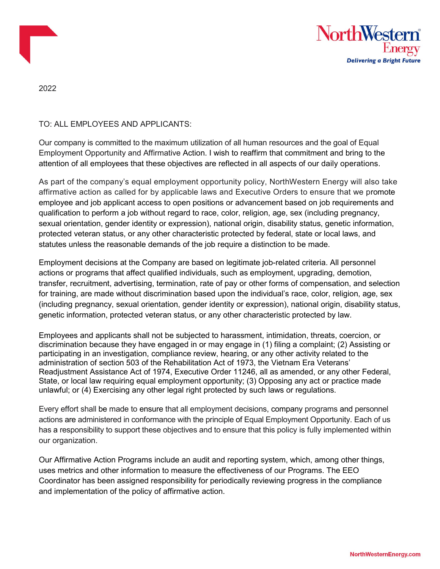



2022

TO: ALL EMPLOYEES AND APPLICANTS:

Our company is committed to the maximum utilization of all human resources and the goal of Equal Employment Opportunity and Affirmative Action. I wish to reaffirm that commitment and bring to the attention of all employees that these objectives are reflected in all aspects of our daily operations.

As part of the company's equal employment opportunity policy, NorthWestern Energy will also take affirmative action as called for by applicable laws and Executive Orders to ensure that we promote employee and job applicant access to open positions or advancement based on job requirements and qualification to perform a job without regard to race, color, religion, age, sex (including pregnancy, sexual orientation, gender identity or expression), national origin, disability status, genetic information, protected veteran status, or any other characteristic protected by federal, state or local laws, and statutes unless the reasonable demands of the job require a distinction to be made.

Employment decisions at the Company are based on legitimate job-related criteria. All personnel actions or programs that affect qualified individuals, such as employment, upgrading, demotion, transfer, recruitment, advertising, termination, rate of pay or other forms of compensation, and selection for training, are made without discrimination based upon the individual's race, color, religion, age, sex (including pregnancy, sexual orientation, gender identity or expression), national origin, disability status, genetic information, protected veteran status, or any other characteristic protected by law.

Employees and applicants shall not be subjected to harassment, intimidation, threats, coercion, or discrimination because they have engaged in or may engage in (1) filing a complaint; (2) Assisting or participating in an investigation, compliance review, hearing, or any other activity related to the administration of section 503 of the Rehabilitation Act of 1973, the Vietnam Era Veterans' Readjustment Assistance Act of 1974, Executive Order 11246, all as amended, or any other Federal, State, or local law requiring equal employment opportunity; (3) Opposing any act or practice made unlawful; or (4) Exercising any other legal right protected by such laws or regulations.

Every effort shall be made to ensure that all employment decisions, company programs and personnel actions are administered in conformance with the principle of Equal Employment Opportunity. Each of us has a responsibility to support these objectives and to ensure that this policy is fully implemented within our organization.

Our Affirmative Action Programs include an audit and reporting system, which, among other things, uses metrics and other information to measure the effectiveness of our Programs. The EEO Coordinator has been assigned responsibility for periodically reviewing progress in the compliance and implementation of the policy of affirmative action.